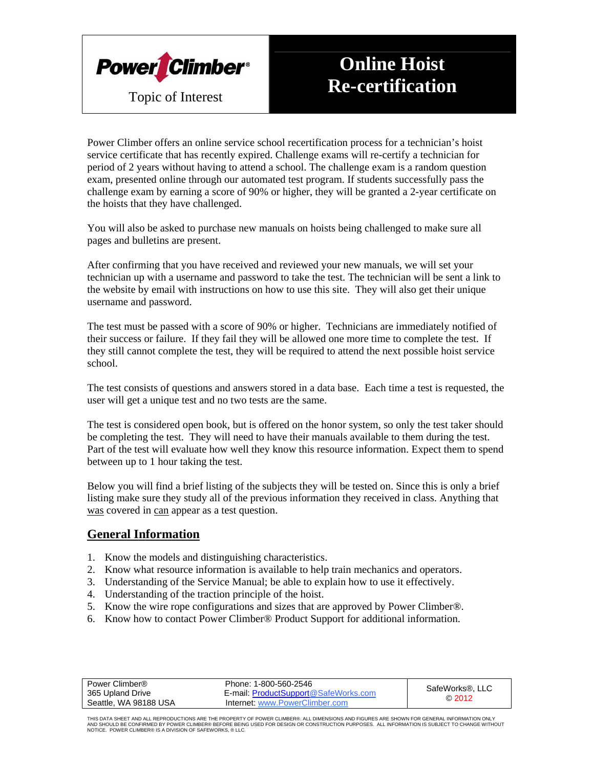

# **Online Hoist Re-certification**

Power Climber offers an online service school recertification process for a technician's hoist service certificate that has recently expired. Challenge exams will re-certify a technician for period of 2 years without having to attend a school. The challenge exam is a random question exam, presented online through our automated test program. If students successfully pass the challenge exam by earning a score of 90% or higher, they will be granted a 2-year certificate on the hoists that they have challenged.

You will also be asked to purchase new manuals on hoists being challenged to make sure all pages and bulletins are present.

After confirming that you have received and reviewed your new manuals, we will set your technician up with a username and password to take the test. The technician will be sent a link to the website by email with instructions on how to use this site. They will also get their unique username and password.

The test must be passed with a score of 90% or higher. Technicians are immediately notified of their success or failure. If they fail they will be allowed one more time to complete the test. If they still cannot complete the test, they will be required to attend the next possible hoist service school.

The test consists of questions and answers stored in a data base. Each time a test is requested, the user will get a unique test and no two tests are the same.

The test is considered open book, but is offered on the honor system, so only the test taker should be completing the test. They will need to have their manuals available to them during the test. Part of the test will evaluate how well they know this resource information. Expect them to spend between up to 1 hour taking the test.

Below you will find a brief listing of the subjects they will be tested on. Since this is only a brief listing make sure they study all of the previous information they received in class. Anything that was covered in can appear as a test question.

#### **General Information**

- 1. Know the models and distinguishing characteristics.
- 2. Know what resource information is available to help train mechanics and operators.
- 3. Understanding of the Service Manual; be able to explain how to use it effectively.
- 4. Understanding of the traction principle of the hoist.
- 5. Know the wire rope configurations and sizes that are approved by Power Climber®.
- 6. Know how to contact Power Climber® Product Support for additional information.

| Power Climber®        | Phone: 1-800-560-2546                | SafeWorks®, LLC<br>@2012 |
|-----------------------|--------------------------------------|--------------------------|
| 365 Upland Drive      | E-mail: ProductSupport@SafeWorks.com |                          |
| Seattle, WA 98188 USA | Internet: www.PowerClimber.com       |                          |

THIS DATA SHEET AND ALL REPRODUCTIONS ARE THE PROPERTY OF POWER CLIMBER®. ALL DIMENSIONS AND FIGURES ARE SHOWN FOR GENERAL INFORMATION ONLY<br>AND SHOULD BE CONFIRMED BY POWER CLIMBER® BEFORE BEING USED FOR DESIGN OR CONSTRU